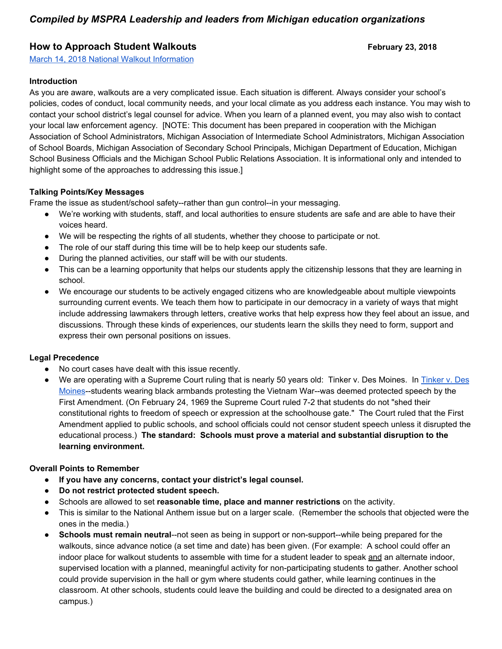# *Compiled by MSPRA Leadership and leaders from Michigan education organizations*

## **How to Approach Student Walkouts**<br> **Example 23, 2018**

[March 14, 2018 National Walkout Information](https://www.womensmarch.com/enough) 

#### **Introduction**

As you are aware, walkouts are a very complicated issue. Each situation is different. Always consider your school's policies, codes of conduct, local community needs, and your local climate as you address each instance. You may wish to contact your school district's legal counsel for advice. When you learn of a planned event, you may also wish to contact your local law enforcement agency. [NOTE: This document has been prepared in cooperation with the Michigan Association of School Administrators, Michigan Association of Intermediate School Administrators, Michigan Association of School Boards, Michigan Association of Secondary School Principals, Michigan Department of Education, Michigan School Business Officials and the Michigan School Public Relations Association. It is informational only and intended to highlight some of the approaches to addressing this issue.]

#### **Talking Points/Key Messages**

Frame the issue as student/school safety--rather than gun control--in your messaging.

- We're working with students, staff, and local authorities to ensure students are safe and are able to have their voices heard.
- We will be respecting the rights of all students, whether they choose to participate or not.
- The role of our staff during this time will be to help keep our students safe.
- During the planned activities, our staff will be with our students.
- This can be a learning opportunity that helps our students apply the citizenship lessons that they are learning in school.
- We encourage our students to be actively engaged citizens who are knowledgeable about multiple viewpoints surrounding current events. We teach them how to participate in our democracy in a variety of ways that might include addressing lawmakers through letters, creative works that help express how they feel about an issue, and discussions. Through these kinds of experiences, our students learn the skills they need to form, support and express their own personal positions on issues.

#### **Legal Precedence**

- No court cases have dealt with this issue recently.
- We are operating with a Supreme Court ruling that is nearly 50 years old: Tinker v. Des Moines. In [Tinker v. Des](https://scholar.google.com/scholar_case?case=15235797139493194004&hl=en&as_sdt=6&as_vis=1&oi=scholarr) [Moines](https://scholar.google.com/scholar_case?case=15235797139493194004&hl=en&as_sdt=6&as_vis=1&oi=scholarr)--students wearing black armbands protesting the Vietnam War--was deemed protected speech by the First Amendment. (On February 24, 1969 the Supreme Court ruled 7-2 that students do not "shed their constitutional rights to freedom of speech or expression at the schoolhouse gate." The Court ruled that the First Amendment applied to public schools, and school officials could not censor student speech unless it disrupted the educational process.) **The standard: Schools must prove a material and substantial disruption to the learning environment.**

#### **Overall Points to Remember**

- **If you have any concerns, contact your district's legal counsel.**
- **Do not restrict protected student speech.**
- Schools are allowed to set **reasonable time, place and manner restrictions** on the activity.
- This is similar to the National Anthem issue but on a larger scale. (Remember the schools that objected were the ones in the media.)
- **Schools must remain neutral--not seen as being in support or non-support--while being prepared for the** walkouts, since advance notice (a set time and date) has been given. (For example: A school could offer an indoor place for walkout students to assemble with time for a student leader to speak and an alternate indoor, supervised location with a planned, meaningful activity for non-participating students to gather. Another school could provide supervision in the hall or gym where students could gather, while learning continues in the classroom. At other schools, students could leave the building and could be directed to a designated area on campus.)